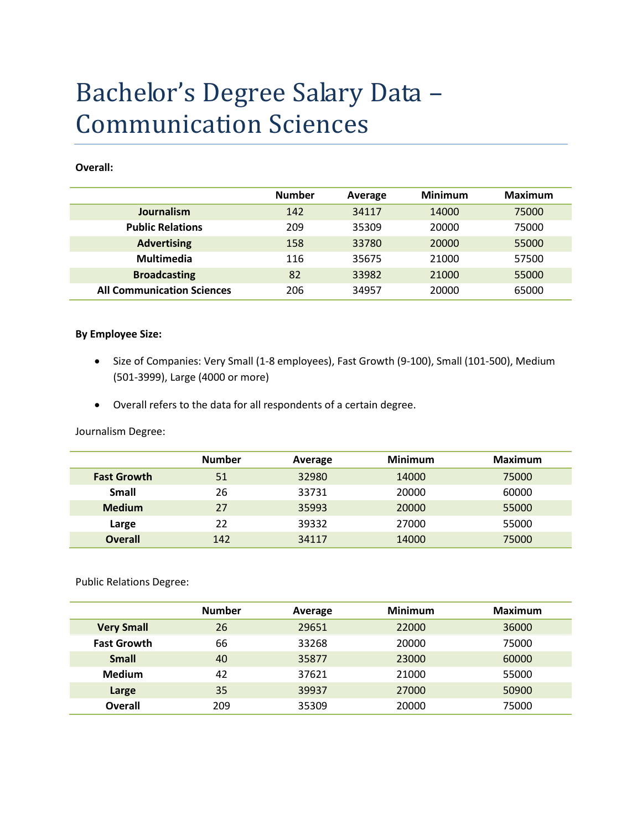# Bachelor's Degree Salary Data – Communication Sciences

#### **Overall:**

|                                   | <b>Number</b> | Average | <b>Minimum</b> | <b>Maximum</b> |
|-----------------------------------|---------------|---------|----------------|----------------|
| Journalism                        | 142           | 34117   | 14000          | 75000          |
| <b>Public Relations</b>           | 209           | 35309   | 20000          | 75000          |
| <b>Advertising</b>                | 158           | 33780   | 20000          | 55000          |
| <b>Multimedia</b>                 | 116           | 35675   | 21000          | 57500          |
| <b>Broadcasting</b>               | 82            | 33982   | 21000          | 55000          |
| <b>All Communication Sciences</b> | 206           | 34957   | 20000          | 65000          |

### **By Employee Size:**

- Size of Companies: Very Small (1-8 employees), Fast Growth (9-100), Small (101-500), Medium (501-3999), Large (4000 or more)
- Overall refers to the data for all respondents of a certain degree.

Journalism Degree:

|                    | <b>Number</b> | Average | <b>Minimum</b> | Maximum |
|--------------------|---------------|---------|----------------|---------|
| <b>Fast Growth</b> | 51            | 32980   | 14000          | 75000   |
| Small              | 26            | 33731   | 20000          | 60000   |
| <b>Medium</b>      | 27            | 35993   | 20000          | 55000   |
| Large              | 22            | 39332   | 27000          | 55000   |
| <b>Overall</b>     | 142           | 34117   | 14000          | 75000   |

Public Relations Degree:

|                    | <b>Number</b> | Average | <b>Minimum</b> | <b>Maximum</b> |
|--------------------|---------------|---------|----------------|----------------|
| <b>Very Small</b>  | 26            | 29651   | 22000          | 36000          |
| <b>Fast Growth</b> | 66            | 33268   | 20000          | 75000          |
| <b>Small</b>       | 40            | 35877   | 23000          | 60000          |
| <b>Medium</b>      | 42            | 37621   | 21000          | 55000          |
| Large              | 35            | 39937   | 27000          | 50900          |
| Overall            | 209           | 35309   | 20000          | 75000          |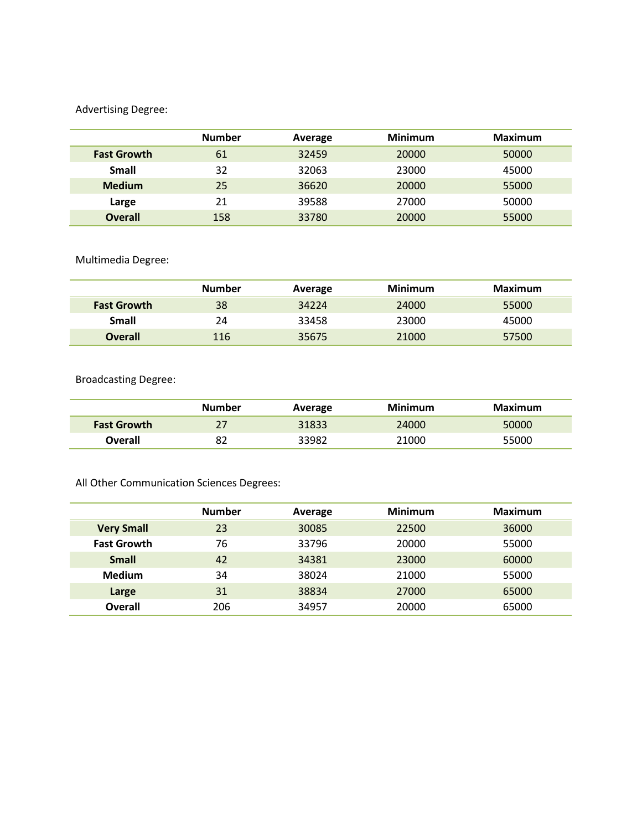## Advertising Degree:

|                    | <b>Number</b> | Average | <b>Minimum</b> | <b>Maximum</b> |
|--------------------|---------------|---------|----------------|----------------|
| <b>Fast Growth</b> | 61            | 32459   | 20000          | 50000          |
| <b>Small</b>       | 32            | 32063   | 23000          | 45000          |
| <b>Medium</b>      | 25            | 36620   | 20000          | 55000          |
| Large              | 21            | 39588   | 27000          | 50000          |
| <b>Overall</b>     | 158           | 33780   | 20000          | 55000          |

# Multimedia Degree:

|                    | <b>Number</b> | Average | Minimum | Maximum |
|--------------------|---------------|---------|---------|---------|
| <b>Fast Growth</b> | 38            | 34224   | 24000   | 55000   |
| Small              | 24            | 33458   | 23000   | 45000   |
| <b>Overall</b>     | 116           | 35675   | 21000   | 57500   |

Broadcasting Degree:

|                    | <b>Number</b> | Average | Minimum | Maximum |
|--------------------|---------------|---------|---------|---------|
| <b>Fast Growth</b> | 27            | 31833   | 24000   | 50000   |
| Overall            | 82            | 33982   | 21000   | 55000   |

All Other Communication Sciences Degrees:

|                    | <b>Number</b> | Average | <b>Minimum</b> | <b>Maximum</b> |
|--------------------|---------------|---------|----------------|----------------|
| <b>Very Small</b>  | 23            | 30085   | 22500          | 36000          |
| <b>Fast Growth</b> | 76            | 33796   | 20000          | 55000          |
| <b>Small</b>       | 42            | 34381   | 23000          | 60000          |
| <b>Medium</b>      | 34            | 38024   | 21000          | 55000          |
| Large              | 31            | 38834   | 27000          | 65000          |
| <b>Overall</b>     | 206           | 34957   | 20000          | 65000          |